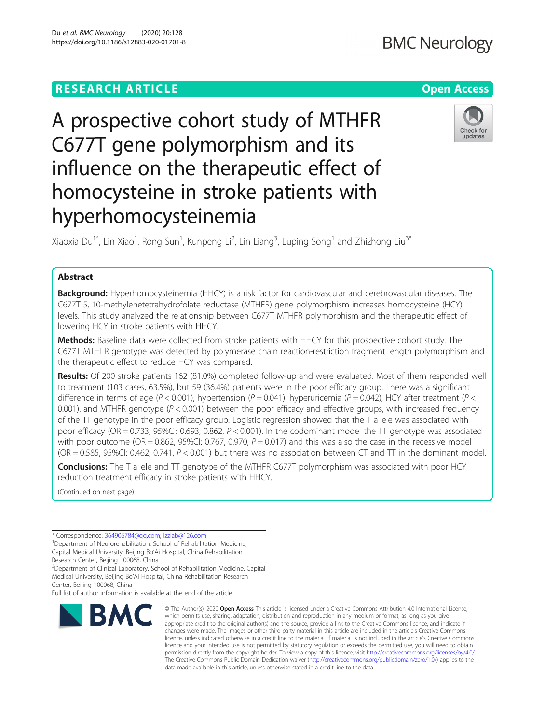# **RESEARCH ARTICLE Example 2014 12:30 The Contract of Contract ACCESS**

# A prospective cohort study of MTHFR C677T gene polymorphism and its influence on the therapeutic effect of homocysteine in stroke patients with hyperhomocysteinemia

Xiaoxia Du<sup>1\*</sup>, Lin Xiao<sup>1</sup>, Rong Sun<sup>1</sup>, Kunpeng Li<sup>2</sup>, Lin Liang<sup>3</sup>, Luping Song<sup>1</sup> and Zhizhong Liu<sup>3\*</sup>

# Abstract

Background: Hyperhomocysteinemia (HHCY) is a risk factor for cardiovascular and cerebrovascular diseases. The C677T 5, 10-methylenetetrahydrofolate reductase (MTHFR) gene polymorphism increases homocysteine (HCY) levels. This study analyzed the relationship between C677T MTHFR polymorphism and the therapeutic effect of lowering HCY in stroke patients with HHCY.

Methods: Baseline data were collected from stroke patients with HHCY for this prospective cohort study. The C677T MTHFR genotype was detected by polymerase chain reaction-restriction fragment length polymorphism and the therapeutic effect to reduce HCY was compared.

Results: Of 200 stroke patients 162 (81.0%) completed follow-up and were evaluated. Most of them responded well to treatment (103 cases, 63.5%), but 59 (36.4%) patients were in the poor efficacy group. There was a significant difference in terms of age (P < 0.001), hypertension (P = 0.041), hyperuricemia (P = 0.042), HCY after treatment (P < 0.001), and MTHFR genotype  $(P < 0.001)$  between the poor efficacy and effective groups, with increased frequency of the TT genotype in the poor efficacy group. Logistic regression showed that the T allele was associated with poor efficacy (OR = 0.733, 95%CI: 0.693, 0.862,  $P < 0.001$ ). In the codominant model the TT genotype was associated with poor outcome (OR = 0.862, 95%CI: 0.767, 0.970,  $P = 0.017$ ) and this was also the case in the recessive model  $(OR = 0.585, 95\% CI: 0.462, 0.741, P < 0.001)$  but there was no association between CT and TT in the dominant model.

**Conclusions:** The T allele and TT genotype of the MTHFR C677T polymorphism was associated with poor HCY reduction treatment efficacy in stroke patients with HHCY.

(Continued on next page)

© The Author(s), 2020 **Open Access** This article is licensed under a Creative Commons Attribution 4.0 International License, which permits use, sharing, adaptation, distribution and reproduction in any medium or format, as long as you give appropriate credit to the original author(s) and the source, provide a link to the Creative Commons licence, and indicate if changes were made. The images or other third party material in this article are included in the article's Creative Commons licence, unless indicated otherwise in a credit line to the material. If material is not included in the article's Creative Commons licence and your intended use is not permitted by statutory regulation or exceeds the permitted use, you will need to obtain permission directly from the copyright holder. To view a copy of this licence, visit [http://creativecommons.org/licenses/by/4.0/.](http://creativecommons.org/licenses/by/4.0/) The Creative Commons Public Domain Dedication waiver [\(http://creativecommons.org/publicdomain/zero/1.0/](http://creativecommons.org/publicdomain/zero/1.0/)) applies to the data made available in this article, unless otherwise stated in a credit line to the data.

\* Correspondence: [364906784@qq.com](mailto:364906784@qq.com); [lzzlab@126.com](mailto:lzzlab@126.com) <sup>1</sup>

<sup>1</sup>Department of Neurorehabilitation, School of Rehabilitation Medicine, Capital Medical University, Beijing Bo'Ai Hospital, China Rehabilitation Research Center, Beijing 100068, China

<sup>3</sup>Department of Clinical Laboratory, School of Rehabilitation Medicine, Capital Medical University, Beijing Bo'Ai Hospital, China Rehabilitation Research

Center, Beijing 100068, China Full list of author information is available at the end of the article

**BMC** 



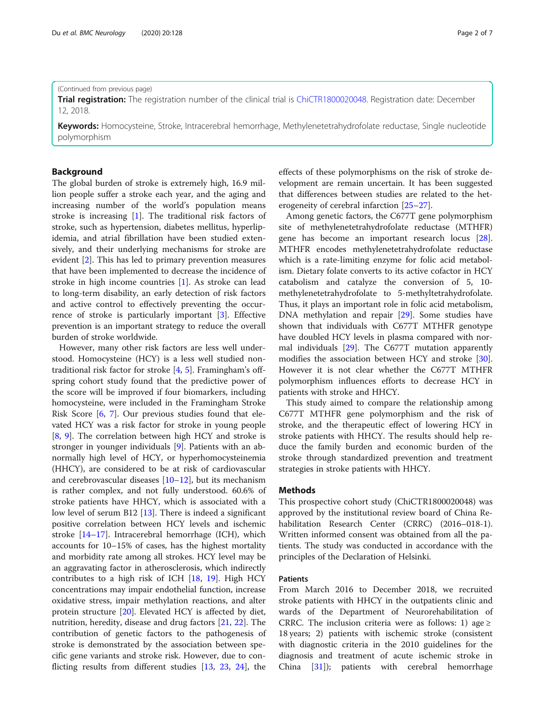#### (Continued from previous page)

Trial registration: The registration number of the clinical trial is [ChiCTR1800020048.](http://www.chictr.org.cn/showproj.aspx?proj=33790) Registration date: December 12, 2018.

Keywords: Homocysteine, Stroke, Intracerebral hemorrhage, Methylenetetrahydrofolate reductase, Single nucleotide polymorphism

#### Background

The global burden of stroke is extremely high, 16.9 million people suffer a stroke each year, and the aging and increasing number of the world's population means stroke is increasing [\[1](#page-5-0)]. The traditional risk factors of stroke, such as hypertension, diabetes mellitus, hyperlipidemia, and atrial fibrillation have been studied extensively, and their underlying mechanisms for stroke are evident [[2\]](#page-5-0). This has led to primary prevention measures that have been implemented to decrease the incidence of stroke in high income countries [\[1](#page-5-0)]. As stroke can lead to long-term disability, an early detection of risk factors and active control to effectively preventing the occurrence of stroke is particularly important [\[3](#page-5-0)]. Effective prevention is an important strategy to reduce the overall burden of stroke worldwide.

However, many other risk factors are less well understood. Homocysteine (HCY) is a less well studied nontraditional risk factor for stroke [\[4](#page-5-0), [5](#page-5-0)]. Framingham's offspring cohort study found that the predictive power of the score will be improved if four biomarkers, including homocysteine, were included in the Framingham Stroke Risk Score [\[6](#page-5-0), [7\]](#page-5-0). Our previous studies found that elevated HCY was a risk factor for stroke in young people [[8,](#page-5-0) [9\]](#page-5-0). The correlation between high HCY and stroke is stronger in younger individuals [[9\]](#page-5-0). Patients with an abnormally high level of HCY, or hyperhomocysteinemia (HHCY), are considered to be at risk of cardiovascular and cerebrovascular diseases [\[10](#page-5-0)–[12](#page-5-0)], but its mechanism is rather complex, and not fully understood. 60.6% of stroke patients have HHCY, which is associated with a low level of serum B12 [[13](#page-5-0)]. There is indeed a significant positive correlation between HCY levels and ischemic stroke [\[14](#page-5-0)–[17\]](#page-5-0). Intracerebral hemorrhage (ICH), which accounts for 10–15% of cases, has the highest mortality and morbidity rate among all strokes. HCY level may be an aggravating factor in atherosclerosis, which indirectly contributes to a high risk of ICH [\[18,](#page-5-0) [19\]](#page-5-0). High HCY concentrations may impair endothelial function, increase oxidative stress, impair methylation reactions, and alter protein structure [[20\]](#page-5-0). Elevated HCY is affected by diet, nutrition, heredity, disease and drug factors [\[21](#page-5-0), [22\]](#page-5-0). The contribution of genetic factors to the pathogenesis of stroke is demonstrated by the association between specific gene variants and stroke risk. However, due to conflicting results from different studies [\[13,](#page-5-0) [23](#page-5-0), [24](#page-5-0)], the

effects of these polymorphisms on the risk of stroke development are remain uncertain. It has been suggested that differences between studies are related to the heterogeneity of cerebral infarction [\[25](#page-5-0)–[27\]](#page-5-0).

Among genetic factors, the C677T gene polymorphism site of methylenetetrahydrofolate reductase (MTHFR) gene has become an important research locus [\[28](#page-5-0)]. MTHFR encodes methylenetetrahydrofolate reductase which is a rate-limiting enzyme for folic acid metabolism. Dietary folate converts to its active cofactor in HCY catabolism and catalyze the conversion of 5, 10 methylenetetrahydrofolate to 5-methyltetrahydrofolate. Thus, it plays an important role in folic acid metabolism, DNA methylation and repair [\[29\]](#page-5-0). Some studies have shown that individuals with C677T MTHFR genotype have doubled HCY levels in plasma compared with normal individuals [[29\]](#page-5-0). The C677T mutation apparently modifies the association between HCY and stroke [\[30](#page-5-0)]. However it is not clear whether the C677T MTHFR polymorphism influences efforts to decrease HCY in patients with stroke and HHCY.

This study aimed to compare the relationship among C677T MTHFR gene polymorphism and the risk of stroke, and the therapeutic effect of lowering HCY in stroke patients with HHCY. The results should help reduce the family burden and economic burden of the stroke through standardized prevention and treatment strategies in stroke patients with HHCY.

### **Methods**

This prospective cohort study (ChiCTR1800020048) was approved by the institutional review board of China Rehabilitation Research Center (CRRC) (2016–018-1). Written informed consent was obtained from all the patients. The study was conducted in accordance with the principles of the Declaration of Helsinki.

#### Patients

From March 2016 to December 2018, we recruited stroke patients with HHCY in the outpatients clinic and wards of the Department of Neurorehabilitation of CRRC. The inclusion criteria were as follows: 1) age  $\ge$ 18 years; 2) patients with ischemic stroke (consistent with diagnostic criteria in the 2010 guidelines for the diagnosis and treatment of acute ischemic stroke in China [[31](#page-5-0)]); patients with cerebral hemorrhage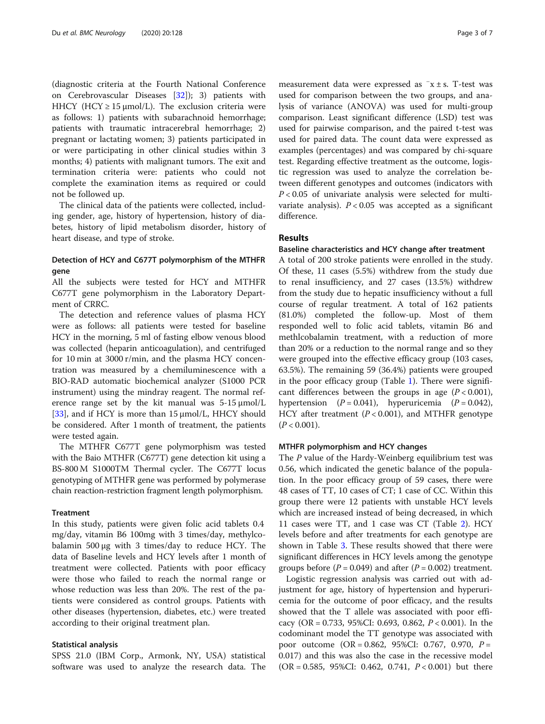(diagnostic criteria at the Fourth National Conference on Cerebrovascular Diseases [\[32](#page-5-0)]); 3) patients with HHCY (HCY  $\geq$  15 µmol/L). The exclusion criteria were as follows: 1) patients with subarachnoid hemorrhage; patients with traumatic intracerebral hemorrhage; 2) pregnant or lactating women; 3) patients participated in or were participating in other clinical studies within 3 months; 4) patients with malignant tumors. The exit and termination criteria were: patients who could not complete the examination items as required or could not be followed up.

The clinical data of the patients were collected, including gender, age, history of hypertension, history of diabetes, history of lipid metabolism disorder, history of heart disease, and type of stroke.

# Detection of HCY and C677T polymorphism of the MTHFR gene

All the subjects were tested for HCY and MTHFR C677T gene polymorphism in the Laboratory Department of CRRC.

The detection and reference values of plasma HCY were as follows: all patients were tested for baseline HCY in the morning, 5 ml of fasting elbow venous blood was collected (heparin anticoagulation), and centrifuged for 10 min at 3000 r/min, and the plasma HCY concentration was measured by a chemiluminescence with a BIO-RAD automatic biochemical analyzer (S1000 PCR instrument) using the mindray reagent. The normal reference range set by the kit manual was 5-15 μmol/L [[33\]](#page-5-0), and if HCY is more than  $15 \mu$ mol/L, HHCY should be considered. After 1 month of treatment, the patients were tested again.

The MTHFR C677T gene polymorphism was tested with the Baio MTHFR (C677T) gene detection kit using a BS-800 M S1000TM Thermal cycler. The C677T locus genotyping of MTHFR gene was performed by polymerase chain reaction-restriction fragment length polymorphism.

#### Treatment

In this study, patients were given folic acid tablets 0.4 mg/day, vitamin B6 100mg with 3 times/day, methylcobalamin 500 μg with 3 times/day to reduce HCY. The data of Baseline levels and HCY levels after 1 month of treatment were collected. Patients with poor efficacy were those who failed to reach the normal range or whose reduction was less than 20%. The rest of the patients were considered as control groups. Patients with other diseases (hypertension, diabetes, etc.) were treated according to their original treatment plan.

#### Statistical analysis

SPSS 21.0 (IBM Corp., Armonk, NY, USA) statistical software was used to analyze the research data. The

measurement data were expressed as  $-x \pm s$ . T-test was used for comparison between the two groups, and analysis of variance (ANOVA) was used for multi-group comparison. Least significant difference (LSD) test was used for pairwise comparison, and the paired t-test was used for paired data. The count data were expressed as examples (percentages) and was compared by chi-square test. Regarding effective treatment as the outcome, logistic regression was used to analyze the correlation between different genotypes and outcomes (indicators with  $P < 0.05$  of univariate analysis were selected for multivariate analysis).  $P < 0.05$  was accepted as a significant difference.

## Results

### Baseline characteristics and HCY change after treatment

A total of 200 stroke patients were enrolled in the study. Of these, 11 cases (5.5%) withdrew from the study due to renal insufficiency, and 27 cases (13.5%) withdrew from the study due to hepatic insufficiency without a full course of regular treatment. A total of 162 patients (81.0%) completed the follow-up. Most of them responded well to folic acid tablets, vitamin B6 and methlcobalamin treatment, with a reduction of more than 20% or a reduction to the normal range and so they were grouped into the effective efficacy group (103 cases, 63.5%). The remaining 59 (36.4%) patients were grouped in the poor efficacy group (Table [1](#page-3-0)). There were significant differences between the groups in age  $(P < 0.001)$ , hypertension  $(P = 0.041)$ , hyperuricemia  $(P = 0.042)$ , HCY after treatment ( $P < 0.001$ ), and MTHFR genotype  $(P < 0.001)$ .

#### MTHFR polymorphism and HCY changes

The P value of the Hardy-Weinberg equilibrium test was 0.56, which indicated the genetic balance of the population. In the poor efficacy group of 59 cases, there were 48 cases of TT, 10 cases of CT; 1 case of CC. Within this group there were 12 patients with unstable HCY levels which are increased instead of being decreased, in which 11 cases were TT, and 1 case was CT (Table [2\)](#page-3-0). HCY levels before and after treatments for each genotype are shown in Table [3.](#page-4-0) These results showed that there were significant differences in HCY levels among the genotype groups before ( $P = 0.049$ ) and after ( $P = 0.002$ ) treatment.

Logistic regression analysis was carried out with adjustment for age, history of hypertension and hyperuricemia for the outcome of poor efficacy, and the results showed that the T allele was associated with poor efficacy (OR = 0.733, 95%CI: 0.693, 0.862, P < 0.001). In the codominant model the TT genotype was associated with poor outcome (OR = 0.862, 95%CI: 0.767, 0.970, P = 0.017) and this was also the case in the recessive model  $(OR = 0.585, 95\% CI: 0.462, 0.741, P < 0.001)$  but there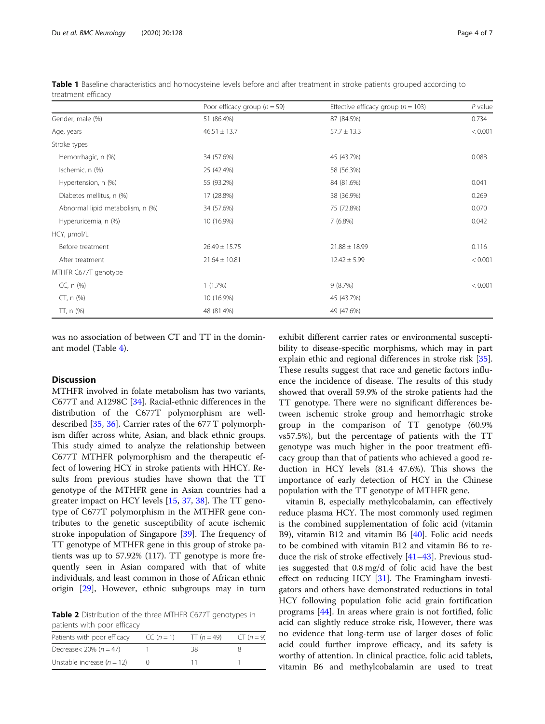|                                  | Poor efficacy group $(n = 59)$ | Effective efficacy group ( $n = 103$ ) | $P$ value |
|----------------------------------|--------------------------------|----------------------------------------|-----------|
| Gender, male (%)                 | 51 (86.4%)                     | 87 (84.5%)                             | 0.734     |
| Age, years                       | $46.51 \pm 13.7$               | $57.7 \pm 13.3$                        | < 0.001   |
| Stroke types                     |                                |                                        |           |
| Hemorrhagic, n (%)               | 34 (57.6%)                     | 45 (43.7%)                             | 0.088     |
| Ischemic, n (%)                  | 25 (42.4%)                     | 58 (56.3%)                             |           |
| Hypertension, n (%)              | 55 (93.2%)                     | 84 (81.6%)                             | 0.041     |
| Diabetes mellitus, n (%)         | 17 (28.8%)                     | 38 (36.9%)                             | 0.269     |
| Abnormal lipid metabolism, n (%) | 34 (57.6%)                     | 75 (72.8%)                             | 0.070     |
| Hyperuricemia, n (%)             | 10 (16.9%)                     | 7(6.8%)                                | 0.042     |
| HCY, µmol/L                      |                                |                                        |           |
| Before treatment                 | $26.49 \pm 15.75$              | $21.88 \pm 18.99$                      | 0.116     |
| After treatment                  | $21.64 \pm 10.81$              | $12.42 \pm 5.99$                       | < 0.001   |
| MTHFR C677T genotype             |                                |                                        |           |
| CC, n (%)                        | $1(1.7\%)$                     | 9(8.7%)                                | < 0.001   |
| $CT, n$ (%)                      | 10 (16.9%)                     | 45 (43.7%)                             |           |
| $TT, n$ (%)                      | 48 (81.4%)                     | 49 (47.6%)                             |           |

<span id="page-3-0"></span>Table 1 Baseline characteristics and homocysteine levels before and after treatment in stroke patients grouped according to treatment efficacy

was no association of between CT and TT in the dominant model (Table [4](#page-4-0)).

# Discussion

MTHFR involved in folate metabolism has two variants, C677T and A1298C [\[34\]](#page-5-0). Racial-ethnic differences in the distribution of the C677T polymorphism are welldescribed [[35](#page-5-0), [36](#page-5-0)]. Carrier rates of the 677 T polymorphism differ across white, Asian, and black ethnic groups. This study aimed to analyze the relationship between C677T MTHFR polymorphism and the therapeutic effect of lowering HCY in stroke patients with HHCY. Results from previous studies have shown that the TT genotype of the MTHFR gene in Asian countries had a greater impact on HCY levels [\[15,](#page-5-0) [37,](#page-5-0) [38\]](#page-5-0). The TT genotype of C677T polymorphism in the MTHFR gene contributes to the genetic susceptibility of acute ischemic stroke inpopulation of Singapore [\[39\]](#page-6-0). The frequency of TT genotype of MTHFR gene in this group of stroke patients was up to 57.92% (117). TT genotype is more frequently seen in Asian compared with that of white individuals, and least common in those of African ethnic origin [\[29\]](#page-5-0), However, ethnic subgroups may in turn

Table 2 Distribution of the three MTHFR C677T genotypes in patients with poor efficacy

| Patients with poor efficacy  | $CC (n = 1)$ | TT $(n = 49)$ | $CT (n = 9)$ |
|------------------------------|--------------|---------------|--------------|
| Decrease < $20\% (n = 47)$   |              | 38            |              |
| Unstable increase $(n = 12)$ |              |               |              |

exhibit different carrier rates or environmental susceptibility to disease-specific morphisms, which may in part explain ethic and regional differences in stroke risk [\[35](#page-5-0)]. These results suggest that race and genetic factors influence the incidence of disease. The results of this study showed that overall 59.9% of the stroke patients had the TT genotype. There were no significant differences between ischemic stroke group and hemorrhagic stroke group in the comparison of TT genotype (60.9% vs57.5%), but the percentage of patients with the TT genotype was much higher in the poor treatment efficacy group than that of patients who achieved a good reduction in HCY levels (81.4 47.6%). This shows the importance of early detection of HCY in the Chinese population with the TT genotype of MTHFR gene.

vitamin B, especially methylcobalamin, can effectively reduce plasma HCY. The most commonly used regimen is the combined supplementation of folic acid (vitamin B9), vitamin B12 and vitamin B6 [[40](#page-6-0)]. Folic acid needs to be combined with vitamin B12 and vitamin B6 to reduce the risk of stroke effectively  $[41-43]$  $[41-43]$  $[41-43]$  $[41-43]$ . Previous studies suggested that 0.8 mg/d of folic acid have the best effect on reducing HCY [[31\]](#page-5-0). The Framingham investigators and others have demonstrated reductions in total HCY following population folic acid grain fortification programs [[44\]](#page-6-0). In areas where grain is not fortified, folic acid can slightly reduce stroke risk, However, there was no evidence that long-term use of larger doses of folic acid could further improve efficacy, and its safety is worthy of attention. In clinical practice, folic acid tablets, vitamin B6 and methylcobalamin are used to treat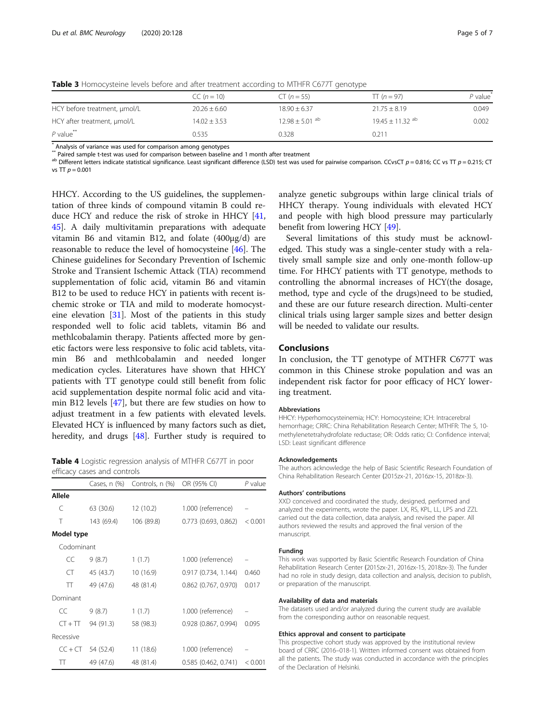|                              | $CC (n = 10)$    | $CT (n = 55)$                  | $\Pi(n = 97)$                   | $P$ value |  |
|------------------------------|------------------|--------------------------------|---------------------------------|-----------|--|
| HCY before treatment, umol/L | $20.26 + 6.60$   | $18.90 + 6.37$                 | $21.75 \pm 8.19$                | 0.049     |  |
| HCY after treatment, µmol/L  | $14.02 \pm 3.53$ | $12.98 \pm 5.01$ <sup>ab</sup> | $19.45 \pm 11.32$ <sup>ab</sup> | 0.002     |  |

<span id="page-4-0"></span>Table 3 Homocysteine levels before and after treatment according to MTHFR C677T genotype

P value\*\* 0.535 0.328 0.211

\* Analysis of variance was used for comparison among genotypes

<sup>ab</sup> Different letters indicate statistical significance. Least significant difference (LSD) test was used for pairwise comparison. CCvsCT  $p = 0.816$ ; CC vs TT  $p = 0.215$ ; CT vs  $TT p = 0.001$ 

HHCY. According to the US guidelines, the supplementation of three kinds of compound vitamin B could reduce HCY and reduce the risk of stroke in HHCY [[41](#page-6-0), [45\]](#page-6-0). A daily multivitamin preparations with adequate vitamin B6 and vitamin B12, and folate (400μg/d) are reasonable to reduce the level of homocysteine [\[46\]](#page-6-0). The Chinese guidelines for Secondary Prevention of Ischemic Stroke and Transient Ischemic Attack (TIA) recommend supplementation of folic acid, vitamin B6 and vitamin B12 to be used to reduce HCY in patients with recent ischemic stroke or TIA and mild to moderate homocysteine elevation [[31\]](#page-5-0). Most of the patients in this study responded well to folic acid tablets, vitamin B6 and methlcobalamin therapy. Patients affected more by genetic factors were less responsive to folic acid tablets, vitamin B6 and methlcobalamin and needed longer medication cycles. Literatures have shown that HHCY patients with TT genotype could still benefit from folic acid supplementation despite normal folic acid and vitamin B12 levels [[47\]](#page-6-0), but there are few studies on how to adjust treatment in a few patients with elevated levels. Elevated HCY is influenced by many factors such as diet, heredity, and drugs [\[48](#page-6-0)]. Further study is required to

Table 4 Logistic regression analysis of MTHFR C677T in poor efficacy cases and controls

|            | Cases, $n$ $(\%)$ | Controls, n (%) | OR (95% CI)            | $P$ value |
|------------|-------------------|-----------------|------------------------|-----------|
| Allele     |                   |                 |                        |           |
| C          | 63 (30.6)         | 12 (10.2)       | 1.000 (referrence)     |           |
| Τ          | 143 (69.4)        | 106 (89.8)      | 0.773 (0.693, 0.862)   | < 0.001   |
| Model type |                   |                 |                        |           |
| Codominant |                   |                 |                        |           |
| CC         | 9(8.7)            | 1(1.7)          | 1.000 (referrence)     |           |
| CT         | 45 (43.7)         | 10 (16.9)       | 0.917(0.734, 1.144)    | 0.460     |
| π          | 49 (47.6)         | 48 (81.4)       | $0.862$ (0.767, 0.970) | 0.017     |
| Dominant   |                   |                 |                        |           |
| CC         | 9(8.7)            | 1(1.7)          | 1.000 (referrence)     |           |
| $CT + TT$  | 94 (91.3)         | 58 (98.3)       | 0.928 (0.867, 0.994)   | 0.095     |
| Recessive  |                   |                 |                        |           |
| $CC + CT$  | 54 (52.4)         | 11(18.6)        | 1.000 (referrence)     |           |
| π          | 49 (47.6)         | 48 (81.4)       | 0.585(0.462, 0.741)    | < 0.001   |

analyze genetic subgroups within large clinical trials of HHCY therapy. Young individuals with elevated HCY and people with high blood pressure may particularly benefit from lowering HCY [\[49\]](#page-6-0).

Several limitations of this study must be acknowledged. This study was a single-center study with a relatively small sample size and only one-month follow-up time. For HHCY patients with TT genotype, methods to controlling the abnormal increases of HCY(the dosage, method, type and cycle of the drugs)need to be studied, and these are our future research direction. Multi-center clinical trials using larger sample sizes and better design will be needed to validate our results.

### Conclusions

In conclusion, the TT genotype of MTHFR C677T was common in this Chinese stroke population and was an independent risk factor for poor efficacy of HCY lowering treatment.

#### Abbreviations

HHCY: Hyperhomocysteinemia; HCY: Homocysteine; ICH: Intracerebral hemorrhage; CRRC: China Rehabilitation Research Center; MTHFR: The 5, 10 methylenetetrahydrofolate reductase; OR: Odds ratio; CI: Confidence interval; LSD: Least significant difference

#### Acknowledgements

The authors acknowledge the help of Basic Scientific Research Foundation of China Rehabilitation Research Center (2015zx-21, 2016zx-15, 2018zx-3).

#### Authors' contributions

XXD conceived and coordinated the study, designed, performed and analyzed the experiments, wrote the paper. LX, RS, KPL, LL, LPS and ZZL carried out the data collection, data analysis, and revised the paper. All authors reviewed the results and approved the final version of the manuscript.

#### Funding

This work was supported by Basic Scientific Research Foundation of China Rehabilitation Research Center (2015zx-21, 2016zx-15, 2018zx-3). The funder had no role in study design, data collection and analysis, decision to publish, or preparation of the manuscript.

#### Availability of data and materials

The datasets used and/or analyzed during the current study are available from the corresponding author on reasonable request.

#### Ethics approval and consent to participate

This prospective cohort study was approved by the institutional review board of CRRC (2016–018-1). Written informed consent was obtained from all the patients. The study was conducted in accordance with the principles of the Declaration of Helsinki.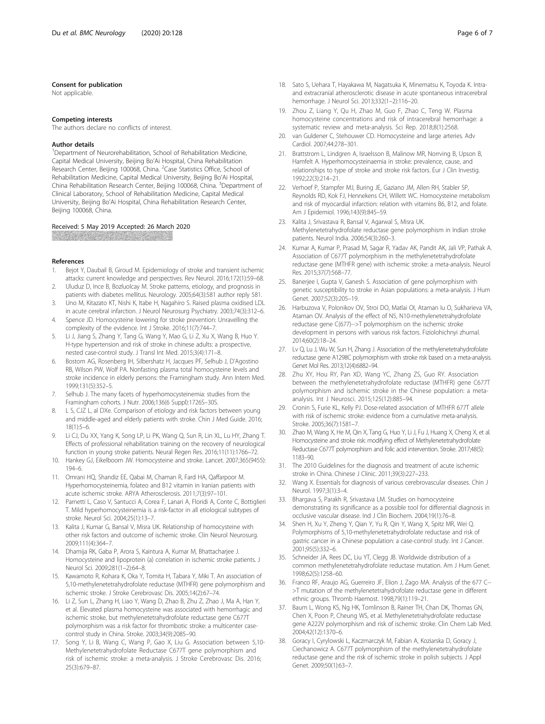#### <span id="page-5-0"></span>Consent for publication

Not applicable.

#### Competing interests

The authors declare no conflicts of interest.

#### Author details

<sup>1</sup>Department of Neurorehabilitation, School of Rehabilitation Medicine, Capital Medical University, Beijing Bo'Ai Hospital, China Rehabilitation Research Center, Beijing 100068, China. <sup>2</sup>Case Statistics Office, School of Rehabilitation Medicine, Capital Medical University, Beijing Bo'Ai Hospital, China Rehabilitation Research Center, Beijing 100068, China. <sup>3</sup>Department of Clinical Laboratory, School of Rehabilitation Medicine, Capital Medical University, Beijing Bo'Ai Hospital, China Rehabilitation Research Center, Beijing 100068, China.

#### Received: 5 May 2019 Accepted: 26 March 2020

#### References

- 1. Bejot Y, Daubail B, Giroud M. Epidemiology of stroke and transient ischemic attacks: current knowledge and perspectives. Rev Neurol. 2016;172(1):59–68.
- 2. Uluduz D, Ince B, Bozluolcay M. Stroke patterns, etiology, and prognosis in patients with diabetes mellitus. Neurology. 2005;64(3):581 author reply 581.
- 3. Uno M, Kitazato KT, Nishi K, Itabe H, Nagahiro S. Raised plasma oxidised LDL in acute cerebral infarction. J Neurol Neurosurg Psychiatry. 2003;74(3):312-6.
- 4. Spence JD. Homocysteine lowering for stroke prevention: Unravelling the complexity of the evidence. Int J Stroke. 2016;11(7):744–7.
- 5. Li J, Jiang S, Zhang Y, Tang G, Wang Y, Mao G, Li Z, Xu X, Wang B, Huo Y. H-type hypertension and risk of stroke in chinese adults: a prospective, nested case-control study. J Transl Int Med. 2015;3(4):171–8.
- 6. Bostom AG, Rosenberg IH, Silbershatz H, Jacques PF, Selhub J, D'Agostino RB, Wilson PW, Wolf PA. Nonfasting plasma total homocysteine levels and stroke incidence in elderly persons: the Framingham study. Ann Intern Med. 1999;131(5):352–5.
- 7. Selhub J. The many facets of hyperhomocysteinemia: studies from the Framingham cohorts. J Nutr. 2006;136(6 Suppl):1726S–30S.
- 8. L S, CJZ L, al DXe. Comparison of etiology and risk factors between young and middle-aged and elderly patients with stroke. Chin J Med Guide. 2016; 18(1):5–6.
- 9. Li CJ, Du XX, Yang K, Song LP, Li PK, Wang Q, Sun R, Lin XL, Lu HY, Zhang T. Effects of professional rehabilitation training on the recovery of neurological function in young stroke patients. Neural Regen Res. 2016;11(11):1766–72.
- 10. Hankey GJ, Eikelboom JW. Homocysteine and stroke. Lancet. 2007;365(9455): 194–6.
- 11. Omrani HQ, Shandiz EE, Qabai M, Chaman R, Fard HA, Qaffarpoor M. Hyperhomocysteinemia, folateo and B12 vitamin in Iranian patients with acute ischemic stroke. ARYA Atherosclerosis. 2011;7(3):97–101.
- 12. Parnetti L, Caso V, Santucci A, Corea F, Lanari A, Floridi A, Conte C, Bottiglieri T. Mild hyperhomocysteinemia is a risk-factor in all etiological subtypes of stroke. Neurol Sci. 2004;25(1):13–7.
- 13. Kalita J, Kumar G, Bansal V, Misra UK. Relationship of homocysteine with other risk factors and outcome of ischemic stroke. Clin Neurol Neurosurg. 2009;111(4):364–7.
- 14. Dhamija RK, Gaba P, Arora S, Kaintura A, Kumar M, Bhattacharjee J. Homocysteine and lipoprotein (a) correlation in ischemic stroke patients. J Neurol Sci. 2009;281(1–2):64–8.
- 15. Kawamoto R, Kohara K, Oka Y, Tomita H, Tabara Y, Miki T. An association of 5,10-methylenetetrahydrofolate reductase (MTHFR) gene polymorphism and ischemic stroke. J Stroke Cerebrovasc Dis. 2005;14(2):67–74.
- 16. Li Z, Sun L, Zhang H, Liao Y, Wang D, Zhao B, Zhu Z, Zhao J, Ma A, Han Y, et al. Elevated plasma homocysteine was associated with hemorrhagic and ischemic stroke, but methylenetetrahydrofolate reductase gene C677T polymorphism was a risk factor for thrombotic stroke: a multicenter casecontrol study in China. Stroke. 2003;34(9):2085–90.
- 17. Song Y, Li B, Wang C, Wang P, Gao X, Liu G. Association between 5,10- Methylenetetrahydrofolate Reductase C677T gene polymorphism and risk of ischemic stroke: a meta-analysis. J Stroke Cerebrovasc Dis. 2016; 25(3):679–87.
- 18. Sato S, Uehara T, Hayakawa M, Nagatsuka K, Minematsu K, Toyoda K. Intraand extracranial atherosclerotic disease in acute spontaneous intracerebral hemorrhage. J Neurol Sci. 2013;332(1–2):116–20.
- 19. Zhou Z, Liang Y, Qu H, Zhao M, Guo F, Zhao C, Teng W. Plasma homocysteine concentrations and risk of intracerebral hemorrhage: a systematic review and meta-analysis. Sci Rep. 2018;8(1):2568.
- 20. van Guldener C, Stehouwer CD. Homocysteine and large arteries. Adv Cardiol. 2007;44:278–301.
- 21. Brattstrom L, Lindgren A, Israelsson B, Malinow MR, Norrving B, Upson B, Hamfelt A. Hyperhomocysteinaemia in stroke: prevalence, cause, and relationships to type of stroke and stroke risk factors. Eur J Clin Investig. 1992;22(3):214–21.
- 22. Verhoef P, Stampfer MJ, Buring JE, Gaziano JM, Allen RH, Stabler SP, Reynolds RD, Kok FJ, Hennekens CH, Willett WC. Homocysteine metabolism and risk of myocardial infarction: relation with vitamins B6, B12, and folate. Am J Epidemiol. 1996;143(9):845–59.
- 23. Kalita J, Srivastava R, Bansal V, Agarwal S, Misra UK. Methylenetetrahydrofolate reductase gene polymorphism in Indian stroke patients. Neurol India. 2006;54(3):260–3.
- 24. Kumar A, Kumar P, Prasad M, Sagar R, Yadav AK, Pandit AK, Jali VP, Pathak A. Association of C677T polymorphism in the methylenetetrahydrofolate reductase gene (MTHFR gene) with ischemic stroke: a meta-analysis. Neurol Res. 2015;37(7):568–77.
- 25. Banerjee I, Gupta V, Ganesh S. Association of gene polymorphism with genetic susceptibility to stroke in Asian populations: a meta-analysis. J Hum Genet. 2007;52(3):205–19.
- 26. Harbuzova V, Polonikov OV, Stroi DO, Matlai OI, Ataman Iu O, Sukharieva VA, Ataman OV. Analysis of the effect of N5, N10-methylenetetrahydrofolate reductase gene C(677)-->T polymorphism on the ischemic stroke development in persons with various risk factors. Fiziolohichnyi zhurnal. 2014;60(2):18–24.
- 27. Lv Q, Lu J, Wu W, Sun H, Zhang J. Association of the methylenetetrahydrofolate reductase gene A1298C polymorphism with stroke risk based on a meta-analysis. Genet Mol Res. 2013;12(4):6882–94.
- 28. Zhu XY, Hou RY, Pan XD, Wang YC, Zhang ZS, Guo RY. Association between the methylenetetrahydrofolate reductase (MTHFR) gene C677T polymorphism and ischemic stroke in the Chinese population: a metaanalysis. Int J Neurosci. 2015;125(12):885–94.
- 29. Cronin S, Furie KL, Kelly PJ. Dose-related association of MTHFR 677T allele with risk of ischemic stroke: evidence from a cumulative meta-analysis. Stroke. 2005;36(7):1581–7.
- 30. Zhao M, Wang X, He M, Qin X, Tang G, Huo Y, Li J, Fu J, Huang X, Cheng X, et al. Homocysteine and stroke risk: modifying effect of Methylenetetrahydrofolate Reductase C677T polymorphism and folic acid intervention. Stroke. 2017;48(5): 1183–90.
- 31. The 2010 Guidelines for the diagnosis and treatment of acute ischemic stroke in China. Chinese J Clinic. 2011;39(3):227–233.
- 32. Wang X. Essentials for diagnosis of various cerebrovascular diseases. Chin J Neurol. 1997;3(1):3–4.
- 33. Bhargava S, Parakh R, Srivastava LM. Studies on homocysteine demonstrating its significance as a possible tool for differential diagnosis in occlusive vascular disease. Ind J Clin Biochem. 2004;19(1):76–8.
- 34. Shen H, Xu Y, Zheng Y, Qian Y, Yu R, Qin Y, Wang X, Spitz MR, Wei Q. Polymorphisms of 5,10-methylenetetrahydrofolate reductase and risk of gastric cancer in a Chinese population: a case-control study. Int J Cancer. 2001;95(5):332–6.
- 35. Schneider JA, Rees DC, Liu YT, Clegg JB. Worldwide distribution of a common methylenetetrahydrofolate reductase mutation. Am J Hum Genet. 1998;62(5):1258–60.
- 36. Franco RF, Araujo AG, Guerreiro JF, Elion J, Zago MA. Analysis of the 677 C-- >T mutation of the methylenetetrahydrofolate reductase gene in different ethnic groups. Thromb Haemost. 1998;79(1):119–21.
- 37. Baum L, Wong KS, Ng HK, Tomlinson B, Rainer TH, Chan DK, Thomas GN, Chen X, Poon P, Cheung WS, et al. Methylenetetrahydrofolate reductase gene A222V polymorphism and risk of ischemic stroke. Clin Chem Lab Med. 2004;42(12):1370–6.
- 38. Goracy I, Cyrylowski L, Kaczmarczyk M, Fabian A, Koziarska D, Goracy J, Ciechanowicz A. C677T polymorphism of the methylenetetrahydrofolate reductase gene and the risk of ischemic stroke in polish subjects. J Appl Genet. 2009;50(1):63–7.